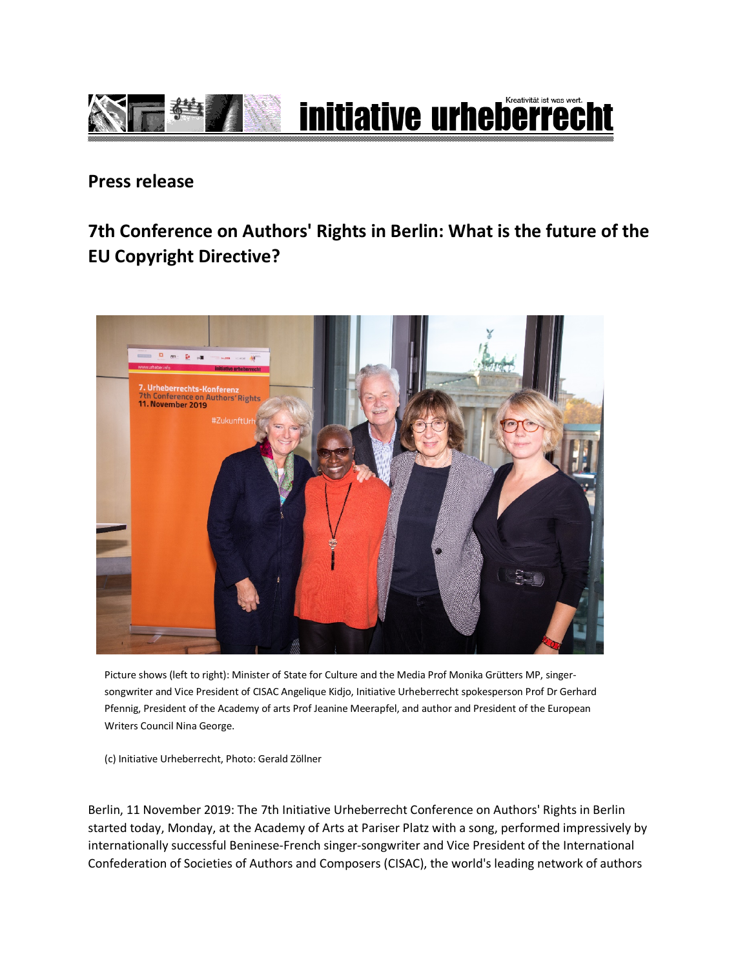

## **Press release**

## **7th Conference on Authors' Rights in Berlin: What is the future of the EU Copyright Directive?**



Picture shows (left to right): Minister of State for Culture and the Media Prof Monika Grütters MP, singersongwriter and Vice President of CISAC Angelique Kidjo, Initiative Urheberrecht spokesperson Prof Dr Gerhard Pfennig, President of the Academy of arts Prof Jeanine Meerapfel, and author and President of the European Writers Council Nina George.

(c) Initiative Urheberrecht, Photo: Gerald Zöllner

Berlin, 11 November 2019: The 7th Initiative Urheberrecht Conference on Authors' Rights in Berlin started today, Monday, at the Academy of Arts at Pariser Platz with a song, performed impressively by internationally successful Beninese-French singer-songwriter and Vice President of the International Confederation of Societies of Authors and Composers (CISAC), the world's leading network of authors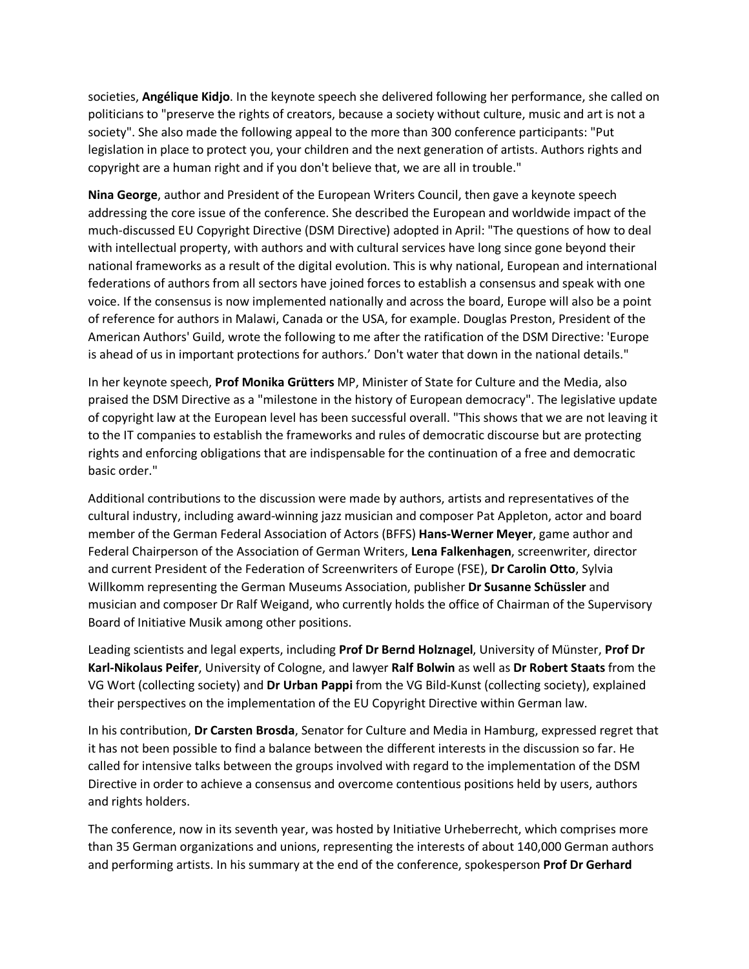societies, **Angélique Kidjo**. In the keynote speech she delivered following her performance, she called on politicians to "preserve the rights of creators, because a society without culture, music and art is not a society". She also made the following appeal to the more than 300 conference participants: "Put legislation in place to protect you, your children and the next generation of artists. Authors rights and copyright are a human right and if you don't believe that, we are all in trouble."

**Nina George**, author and President of the European Writers Council, then gave a keynote speech addressing the core issue of the conference. She described the European and worldwide impact of the much-discussed EU Copyright Directive (DSM Directive) adopted in April: "The questions of how to deal with intellectual property, with authors and with cultural services have long since gone beyond their national frameworks as a result of the digital evolution. This is why national, European and international federations of authors from all sectors have joined forces to establish a consensus and speak with one voice. If the consensus is now implemented nationally and across the board, Europe will also be a point of reference for authors in Malawi, Canada or the USA, for example. Douglas Preston, President of the American Authors' Guild, wrote the following to me after the ratification of the DSM Directive: 'Europe is ahead of us in important protections for authors.' Don't water that down in the national details."

In her keynote speech, **Prof Monika Grütters** MP, Minister of State for Culture and the Media, also praised the DSM Directive as a "milestone in the history of European democracy". The legislative update of copyright law at the European level has been successful overall. "This shows that we are not leaving it to the IT companies to establish the frameworks and rules of democratic discourse but are protecting rights and enforcing obligations that are indispensable for the continuation of a free and democratic basic order."

Additional contributions to the discussion were made by authors, artists and representatives of the cultural industry, including award-winning jazz musician and composer Pat Appleton, actor and board member of the German Federal Association of Actors (BFFS) **Hans-Werner Meyer**, game author and Federal Chairperson of the Association of German Writers, **Lena Falkenhagen**, screenwriter, director and current President of the Federation of Screenwriters of Europe (FSE), **Dr Carolin Otto**, Sylvia Willkomm representing the German Museums Association, publisher **Dr Susanne Schüssler** and musician and composer Dr Ralf Weigand, who currently holds the office of Chairman of the Supervisory Board of Initiative Musik among other positions.

Leading scientists and legal experts, including **Prof Dr Bernd Holznagel**, University of Münster, **Prof Dr Karl-Nikolaus Peifer**, University of Cologne, and lawyer **Ralf Bolwin** as well as **Dr Robert Staats** from the VG Wort (collecting society) and **Dr Urban Pappi** from the VG Bild-Kunst (collecting society), explained their perspectives on the implementation of the EU Copyright Directive within German law.

In his contribution, **Dr Carsten Brosda**, Senator for Culture and Media in Hamburg, expressed regret that it has not been possible to find a balance between the different interests in the discussion so far. He called for intensive talks between the groups involved with regard to the implementation of the DSM Directive in order to achieve a consensus and overcome contentious positions held by users, authors and rights holders.

The conference, now in its seventh year, was hosted by Initiative Urheberrecht, which comprises more than 35 German organizations and unions, representing the interests of about 140,000 German authors and performing artists. In his summary at the end of the conference, spokesperson **Prof Dr Gerhard**